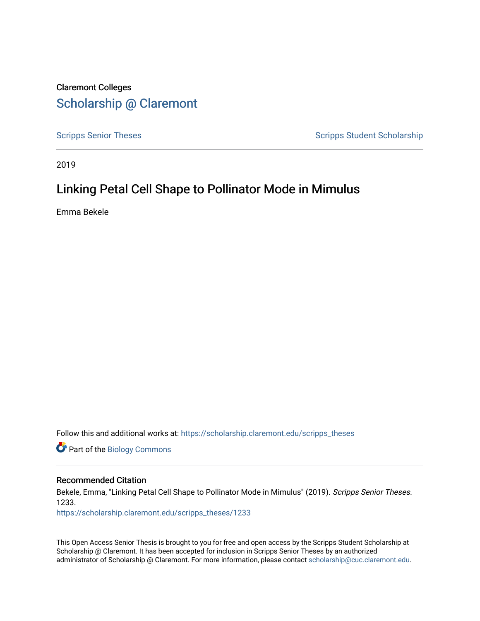## Claremont Colleges [Scholarship @ Claremont](https://scholarship.claremont.edu/)

[Scripps Senior Theses](https://scholarship.claremont.edu/scripps_theses) Scripps Student Scholarship

2019

## Linking Petal Cell Shape to Pollinator Mode in Mimulus

Emma Bekele

Follow this and additional works at: [https://scholarship.claremont.edu/scripps\\_theses](https://scholarship.claremont.edu/scripps_theses?utm_source=scholarship.claremont.edu%2Fscripps_theses%2F1233&utm_medium=PDF&utm_campaign=PDFCoverPages)

Part of the [Biology Commons](http://network.bepress.com/hgg/discipline/41?utm_source=scholarship.claremont.edu%2Fscripps_theses%2F1233&utm_medium=PDF&utm_campaign=PDFCoverPages) 

#### Recommended Citation

Bekele, Emma, "Linking Petal Cell Shape to Pollinator Mode in Mimulus" (2019). Scripps Senior Theses. 1233.

[https://scholarship.claremont.edu/scripps\\_theses/1233](https://scholarship.claremont.edu/scripps_theses/1233?utm_source=scholarship.claremont.edu%2Fscripps_theses%2F1233&utm_medium=PDF&utm_campaign=PDFCoverPages) 

This Open Access Senior Thesis is brought to you for free and open access by the Scripps Student Scholarship at Scholarship @ Claremont. It has been accepted for inclusion in Scripps Senior Theses by an authorized administrator of Scholarship @ Claremont. For more information, please contact [scholarship@cuc.claremont.edu.](mailto:scholarship@cuc.claremont.edu)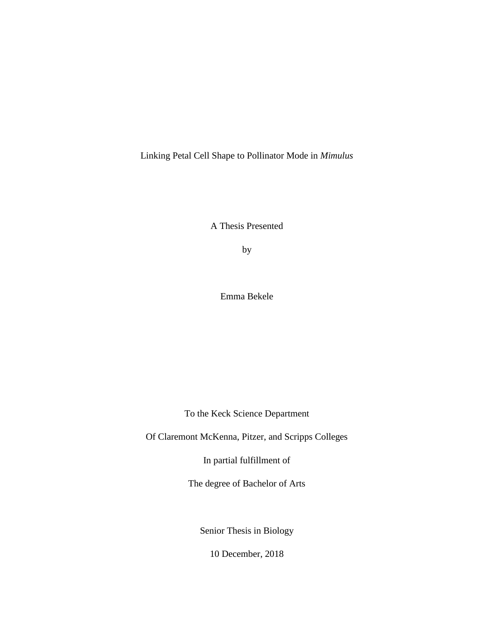Linking Petal Cell Shape to Pollinator Mode in *Mimulus*

A Thesis Presented

by

Emma Bekele

To the Keck Science Department

Of Claremont McKenna, Pitzer, and Scripps Colleges

In partial fulfillment of

The degree of Bachelor of Arts

Senior Thesis in Biology

<span id="page-1-0"></span>10 December, 2018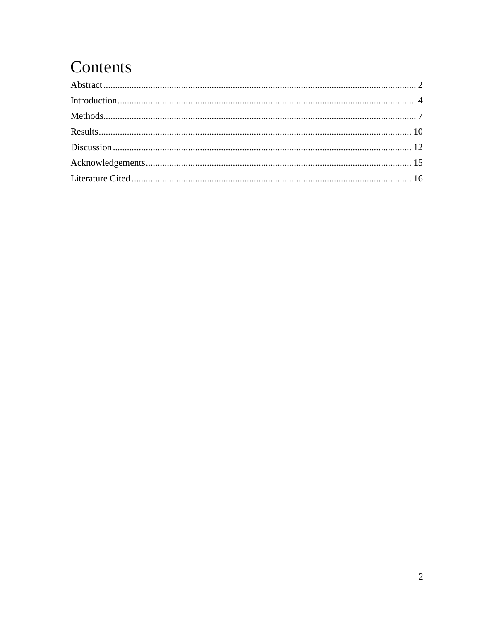# Contents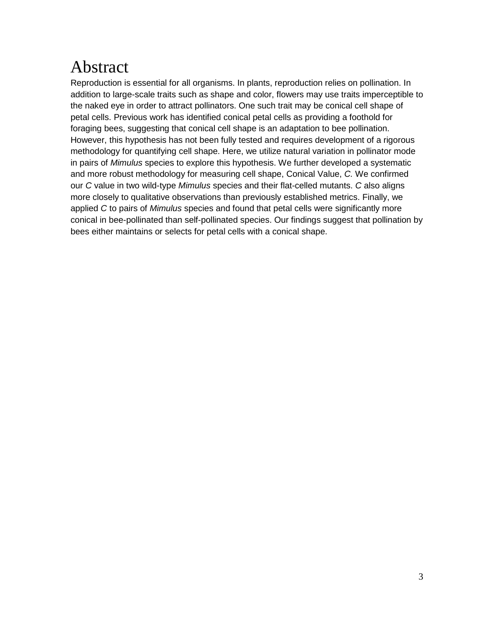# Abstract

Reproduction is essential for all organisms. In plants, reproduction relies on pollination. In addition to large-scale traits such as shape and color, flowers may use traits imperceptible to the naked eye in order to attract pollinators. One such trait may be conical cell shape of petal cells. Previous work has identified conical petal cells as providing a foothold for foraging bees, suggesting that conical cell shape is an adaptation to bee pollination. However, this hypothesis has not been fully tested and requires development of a rigorous methodology for quantifying cell shape. Here, we utilize natural variation in pollinator mode in pairs of *Mimulus* species to explore this hypothesis. We further developed a systematic and more robust methodology for measuring cell shape, Conical Value, *C.* We confirmed our *C* value in two wild-type *Mimulus* species and their flat-celled mutants. *C* also aligns more closely to qualitative observations than previously established metrics. Finally, we applied *C* to pairs of *Mimulus* species and found that petal cells were significantly more conical in bee-pollinated than self-pollinated species. Our findings suggest that pollination by bees either maintains or selects for petal cells with a conical shape.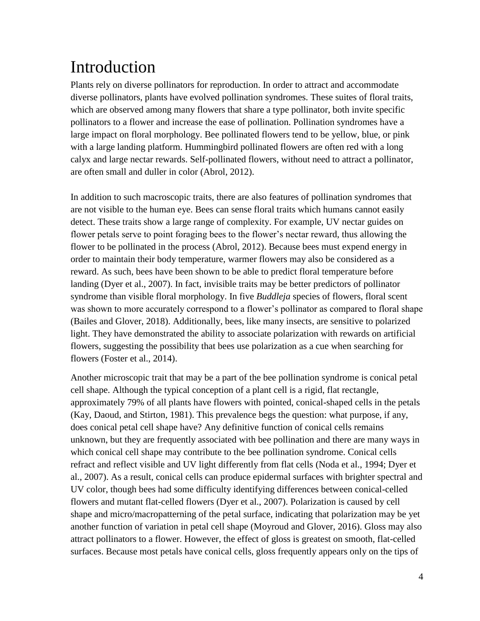# <span id="page-4-0"></span>Introduction

Plants rely on diverse pollinators for reproduction. In order to attract and accommodate diverse pollinators, plants have evolved pollination syndromes. These suites of floral traits, which are observed among many flowers that share a type pollinator, both invite specific pollinators to a flower and increase the ease of pollination. Pollination syndromes have a large impact on floral morphology. Bee pollinated flowers tend to be yellow, blue, or pink with a large landing platform. Hummingbird pollinated flowers are often red with a long calyx and large nectar rewards. Self-pollinated flowers, without need to attract a pollinator, are often small and duller in color (Abrol, 2012).

In addition to such macroscopic traits, there are also features of pollination syndromes that are not visible to the human eye. Bees can sense floral traits which humans cannot easily detect. These traits show a large range of complexity. For example, UV nectar guides on flower petals serve to point foraging bees to the flower's nectar reward, thus allowing the flower to be pollinated in the process (Abrol, 2012). Because bees must expend energy in order to maintain their body temperature, warmer flowers may also be considered as a reward. As such, bees have been shown to be able to predict floral temperature before landing (Dyer et al., 2007). In fact, invisible traits may be better predictors of pollinator syndrome than visible floral morphology. In five *Buddleja* species of flowers, floral scent was shown to more accurately correspond to a flower's pollinator as compared to floral shape (Bailes and Glover, 2018). Additionally, bees, like many insects, are sensitive to polarized light. They have demonstrated the ability to associate polarization with rewards on artificial flowers, suggesting the possibility that bees use polarization as a cue when searching for flowers (Foster et al., 2014).

Another microscopic trait that may be a part of the bee pollination syndrome is conical petal cell shape. Although the typical conception of a plant cell is a rigid, flat rectangle, approximately 79% of all plants have flowers with pointed, conical-shaped cells in the petals (Kay, Daoud, and Stirton, 1981). This prevalence begs the question: what purpose, if any, does conical petal cell shape have? Any definitive function of conical cells remains unknown, but they are frequently associated with bee pollination and there are many ways in which conical cell shape may contribute to the bee pollination syndrome. Conical cells refract and reflect visible and UV light differently from flat cells (Noda et al., 1994; Dyer et al., 2007). As a result, conical cells can produce epidermal surfaces with brighter spectral and UV color, though bees had some difficulty identifying differences between conical-celled flowers and mutant flat-celled flowers (Dyer et al., 2007). Polarization is caused by cell shape and micro/macropatterning of the petal surface, indicating that polarization may be yet another function of variation in petal cell shape (Moyroud and Glover, 2016). Gloss may also attract pollinators to a flower. However, the effect of gloss is greatest on smooth, flat-celled surfaces. Because most petals have conical cells, gloss frequently appears only on the tips of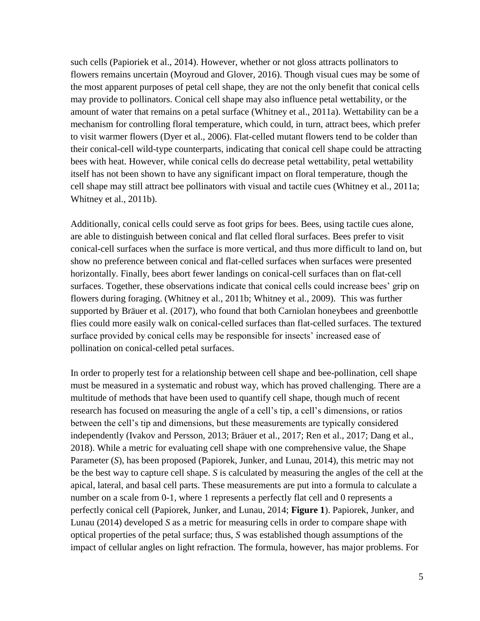such cells (Papioriek et al., 2014). However, whether or not gloss attracts pollinators to flowers remains uncertain (Moyroud and Glover, 2016). Though visual cues may be some of the most apparent purposes of petal cell shape, they are not the only benefit that conical cells may provide to pollinators. Conical cell shape may also influence petal wettability, or the amount of water that remains on a petal surface (Whitney et al., 2011a). Wettability can be a mechanism for controlling floral temperature, which could, in turn, attract bees, which prefer to visit warmer flowers (Dyer et al., 2006). Flat-celled mutant flowers tend to be colder than their conical-cell wild-type counterparts, indicating that conical cell shape could be attracting bees with heat. However, while conical cells do decrease petal wettability, petal wettability itself has not been shown to have any significant impact on floral temperature, though the cell shape may still attract bee pollinators with visual and tactile cues (Whitney et al., 2011a; Whitney et al., 2011b).

Additionally, conical cells could serve as foot grips for bees. Bees, using tactile cues alone, are able to distinguish between conical and flat celled floral surfaces. Bees prefer to visit conical-cell surfaces when the surface is more vertical, and thus more difficult to land on, but show no preference between conical and flat-celled surfaces when surfaces were presented horizontally. Finally, bees abort fewer landings on conical-cell surfaces than on flat-cell surfaces. Together, these observations indicate that conical cells could increase bees' grip on flowers during foraging. (Whitney et al., 2011b; Whitney et al., 2009). This was further supported by Bräuer et al. (2017), who found that both Carniolan honeybees and greenbottle flies could more easily walk on conical-celled surfaces than flat-celled surfaces. The textured surface provided by conical cells may be responsible for insects' increased ease of pollination on conical-celled petal surfaces.

In order to properly test for a relationship between cell shape and bee-pollination, cell shape must be measured in a systematic and robust way, which has proved challenging. There are a multitude of methods that have been used to quantify cell shape, though much of recent research has focused on measuring the angle of a cell's tip, a cell's dimensions, or ratios between the cell's tip and dimensions, but these measurements are typically considered independently (Ivakov and Persson, 2013; Bräuer et al., 2017; Ren et al., 2017; Dang et al., 2018). While a metric for evaluating cell shape with one comprehensive value, the Shape Parameter (*S*), has been proposed (Papiorek, Junker, and Lunau, 2014), this metric may not be the best way to capture cell shape. *S* is calculated by measuring the angles of the cell at the apical, lateral, and basal cell parts. These measurements are put into a formula to calculate a number on a scale from 0-1, where 1 represents a perfectly flat cell and 0 represents a perfectly conical cell (Papiorek, Junker, and Lunau, 2014; **Figure 1**). Papiorek, Junker, and Lunau (2014) developed *S* as a metric for measuring cells in order to compare shape with optical properties of the petal surface; thus, *S* was established though assumptions of the impact of cellular angles on light refraction. The formula, however, has major problems. For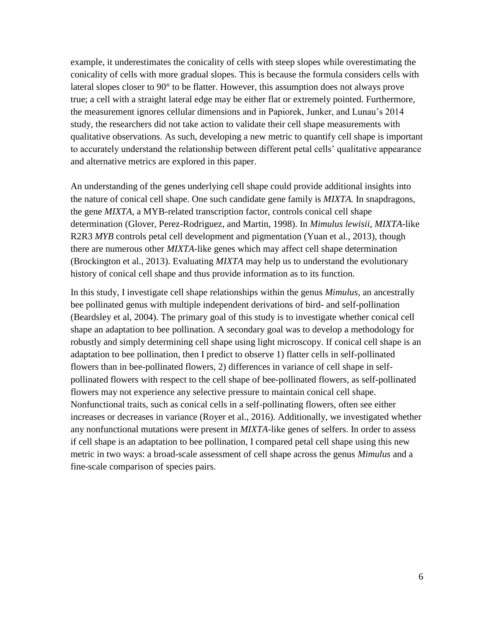example, it underestimates the conicality of cells with steep slopes while overestimating the conicality of cells with more gradual slopes. This is because the formula considers cells with lateral slopes closer to 90° to be flatter. However, this assumption does not always prove true; a cell with a straight lateral edge may be either flat or extremely pointed. Furthermore, the measurement ignores cellular dimensions and in Papiorek, Junker, and Lunau's 2014 study, the researchers did not take action to validate their cell shape measurements with qualitative observations. As such, developing a new metric to quantify cell shape is important to accurately understand the relationship between different petal cells' qualitative appearance and alternative metrics are explored in this paper.

An understanding of the genes underlying cell shape could provide additional insights into the nature of conical cell shape. One such candidate gene family is *MIXTA.* In snapdragons, the gene *MIXTA,* a MYB-related transcription factor, controls conical cell shape determination (Glover, Perez-Rodriguez, and Martin, 1998). In *Mimulus lewisii, MIXTA*-like R2R3 *MYB* controls petal cell development and pigmentation (Yuan et al., 2013), though there are numerous other *MIXTA-*like genes which may affect cell shape determination (Brockington et al., 2013). Evaluating *MIXTA* may help us to understand the evolutionary history of conical cell shape and thus provide information as to its function.

<span id="page-6-0"></span>In this study, I investigate cell shape relationships within the genus *Mimulus,* an ancestrally bee pollinated genus with multiple independent derivations of bird- and self-pollination (Beardsley et al, 2004). The primary goal of this study is to investigate whether conical cell shape an adaptation to bee pollination. A secondary goal was to develop a methodology for robustly and simply determining cell shape using light microscopy. If conical cell shape is an adaptation to bee pollination, then I predict to observe 1) flatter cells in self-pollinated flowers than in bee-pollinated flowers, 2) differences in variance of cell shape in selfpollinated flowers with respect to the cell shape of bee-pollinated flowers, as self-pollinated flowers may not experience any selective pressure to maintain conical cell shape. Nonfunctional traits, such as conical cells in a self-pollinating flowers, often see either increases or decreases in variance (Royer et al., 2016). Additionally, we investigated whether any nonfunctional mutations were present in *MIXTA*-like genes of selfers. In order to assess if cell shape is an adaptation to bee pollination, I compared petal cell shape using this new metric in two ways: a broad-scale assessment of cell shape across the genus *Mimulus* and a fine-scale comparison of species pairs.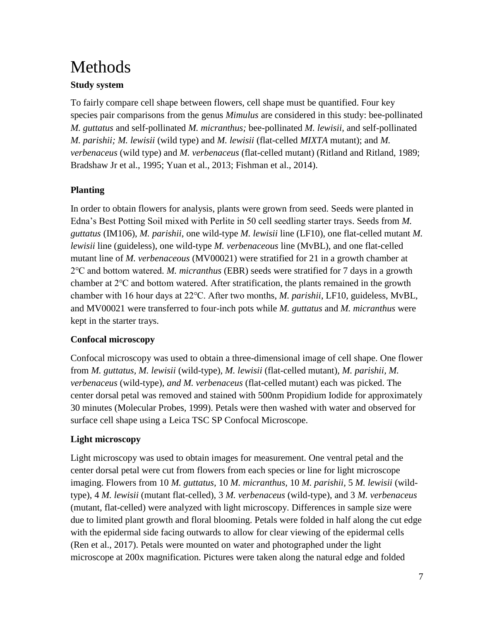# Methods

### **Study system**

To fairly compare cell shape between flowers, cell shape must be quantified. Four key species pair comparisons from the genus *Mimulus* are considered in this study: bee-pollinated *M. guttatus* and self-pollinated *M. micranthus;* bee-pollinated *M. lewisii,* and self-pollinated *M. parishii; M. lewisii* (wild type) and *M. lewisii* (flat-celled *MIXTA* mutant); and *M. verbenaceus* (wild type) and *M. verbenaceus* (flat-celled mutant) (Ritland and Ritland, 1989; Bradshaw Jr et al., 1995; Yuan et al., 2013; Fishman et al., 2014).

## **Planting**

In order to obtain flowers for analysis, plants were grown from seed. Seeds were planted in Edna's Best Potting Soil mixed with Perlite in 50 cell seedling starter trays. Seeds from *M. guttatus* (IM106), *M. parishii*, one wild-type *M. lewisii* line (LF10), one flat-celled mutant *M. lewisii* line (guideless), one wild-type *M. verbenaceous* line (MvBL), and one flat-celled mutant line of *M. verbenaceous* (MV00021) were stratified for 21 in a growth chamber at 2℃ and bottom watered. *M. micranthus* (EBR) seeds were stratified for 7 days in a growth chamber at 2℃ and bottom watered. After stratification, the plants remained in the growth chamber with 16 hour days at 22℃. After two months, *M. parishii*, LF10, guideless, MvBL, and MV00021 were transferred to four-inch pots while *M. guttatus* and *M. micranthus* were kept in the starter trays.

## **Confocal microscopy**

Confocal microscopy was used to obtain a three-dimensional image of cell shape. One flower from *M. guttatus, M. lewisii* (wild-type)*, M. lewisii* (flat-celled mutant)*, M. parishii, M. verbenaceus* (wild-type)*, and M. verbenaceus* (flat-celled mutant) each was picked. The center dorsal petal was removed and stained with 500nm Propidium Iodide for approximately 30 minutes (Molecular Probes, 1999). Petals were then washed with water and observed for surface cell shape using a Leica TSC SP Confocal Microscope.

## **Light microscopy**

Light microscopy was used to obtain images for measurement. One ventral petal and the center dorsal petal were cut from flowers from each species or line for light microscope imaging. Flowers from 10 *M. guttatus,* 10 *M. micranthus,* 10 *M. parishii,* 5 *M. lewisii* (wildtype), 4 *M. lewisii* (mutant flat-celled), 3 *M. verbenaceus* (wild-type), and 3 *M. verbenaceus*  (mutant, flat-celled) were analyzed with light microscopy. Differences in sample size were due to limited plant growth and floral blooming. Petals were folded in half along the cut edge with the epidermal side facing outwards to allow for clear viewing of the epidermal cells (Ren et al., 2017). Petals were mounted on water and photographed under the light microscope at 200x magnification. Pictures were taken along the natural edge and folded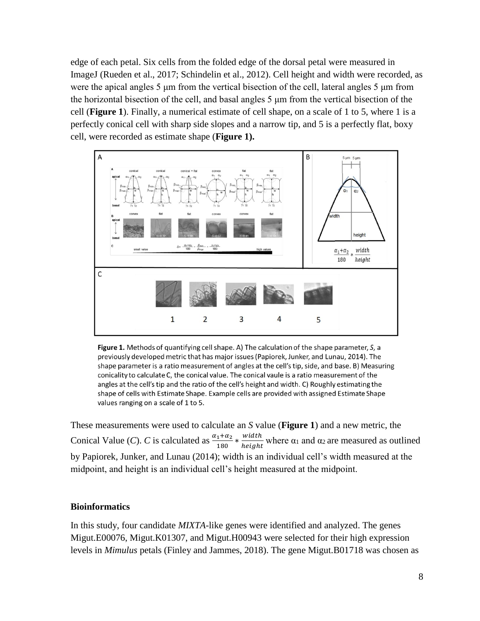edge of each petal. Six cells from the folded edge of the dorsal petal were measured in ImageJ (Rueden et al., 2017; Schindelin et al., 2012). Cell height and width were recorded, as were the apical angles 5 μm from the vertical bisection of the cell, lateral angles 5 μm from the horizontal bisection of the cell, and basal angles 5 μm from the vertical bisection of the cell (**Figure 1**). Finally, a numerical estimate of cell shape, on a scale of 1 to 5, where 1 is a perfectly conical cell with sharp side slopes and a narrow tip, and 5 is a perfectly flat, boxy cell, were recorded as estimate shape (**Figure 1).**



Figure 1. Methods of quantifying cell shape. A) The calculation of the shape parameter, S, a previously developed metric that has major issues (Papiorek, Junker, and Lunau, 2014). The shape parameter is a ratio measurement of angles at the cell's tip, side, and base. B) Measuring conicality to calculate C, the conical value. The conical vaule is a ratio measurement of the angles at the cell's tip and the ratio of the cell's height and width. C) Roughly estimating the shape of cells with Estimate Shape. Example cells are provided with assigned Estimate Shape values ranging on a scale of 1 to 5.

These measurements were used to calculate an *S* value (**Figure 1**) and a new metric, the Conical Value (*C*). *C* is calculated as  $\frac{\alpha_1 + \alpha_2}{180} * \frac{width}{height}$  $\frac{w_{\text{total}}}{height}$  where  $\alpha_1$  and  $\alpha_2$  are measured as outlined by Papiorek, Junker, and Lunau (2014); width is an individual cell's width measured at the midpoint, and height is an individual cell's height measured at the midpoint.

### **Bioinformatics**

In this study, four candidate *MIXTA-*like genes were identified and analyzed. The genes Migut.E00076, Migut.K01307, and Migut.H00943 were selected for their high expression levels in *Mimulus* petals (Finley and Jammes, 2018). The gene Migut.B01718 was chosen as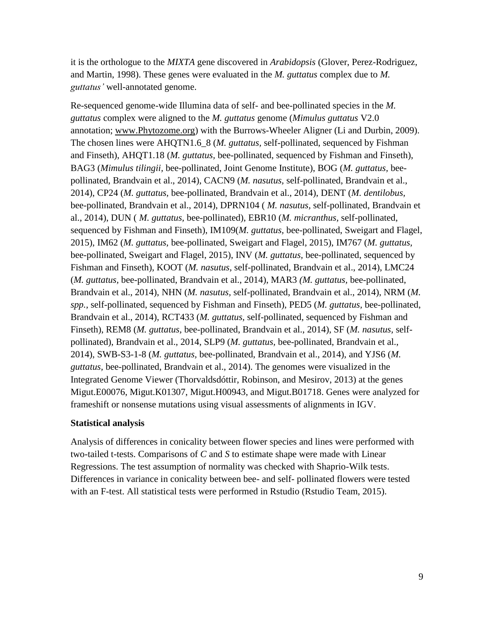it is the orthologue to the *MIXTA* gene discovered in *Arabidopsis* (Glover, Perez-Rodriguez, and Martin, 1998). These genes were evaluated in the *M. guttatus* complex due to *M. guttatus'* well-annotated genome.

Re-sequenced genome-wide Illumina data of self- and bee-pollinated species in the *M. guttatus* complex were aligned to the *M. guttatus* genome (*Mimulus guttatus* V2.0 annotation; [www.Phytozome.org\)](http://www.phytozome.org/) with the Burrows-Wheeler Aligner (Li and Durbin, 2009). The chosen lines were AHQTN1.6\_8 (*M. guttatus,* self-pollinated, sequenced by Fishman and Finseth), AHQT1.18 (*M. guttatus,* bee-pollinated, sequenced by Fishman and Finseth), BAG3 (*Mimulus tilingii,* bee-pollinated, Joint Genome Institute), BOG (*M. guttatus,* beepollinated, Brandvain et al., 2014), CACN9 (*M. nasutus,* self-pollinated, Brandvain et al., 2014), CP24 (*M. guttatus,* bee-pollinated, Brandvain et al., 2014), DENT (*M. dentilobus,*  bee-pollinated, Brandvain et al., 2014), DPRN104 ( *M. nasutus,* self-pollinated, Brandvain et al., 2014), DUN ( *M. guttatus,* bee-pollinated), EBR10 (*M. micranthus,* self-pollinated, sequenced by Fishman and Finseth), IM109(*M. guttatus,* bee-pollinated, Sweigart and Flagel, 2015), IM62 (*M. guttatus,* bee-pollinated, Sweigart and Flagel, 2015), IM767 (*M. guttatus,*  bee-pollinated, Sweigart and Flagel, 2015), INV (*M. guttatus,* bee-pollinated, sequenced by Fishman and Finseth), KOOT (*M. nasutus,* self-pollinated, Brandvain et al., 2014), LMC24 (*M. guttatus,* bee-pollinated, Brandvain et al., 2014), MAR3 *(M. guttatus,* bee-pollinated, Brandvain et al., 2014), NHN (*M. nasutus,* self-pollinated, Brandvain et al., 2014), NRM (*M. spp.,* self-pollinated, sequenced by Fishman and Finseth), PED5 (*M. guttatus,* bee-pollinated, Brandvain et al., 2014), RCT433 (*M. guttatus,* self-pollinated, sequenced by Fishman and Finseth), REM8 (*M. guttatus,* bee-pollinated, Brandvain et al., 2014), SF (*M. nasutus,* selfpollinated), Brandvain et al., 2014, SLP9 (*M. guttatus,* bee-pollinated, Brandvain et al., 2014), SWB-S3-1-8 (*M. guttatus,* bee-pollinated, Brandvain et al., 2014), and YJS6 (*M. guttatus,* bee-pollinated, Brandvain et al., 2014). The genomes were visualized in the Integrated Genome Viewer (Thorvaldsdóttir, Robinson, and Mesirov, 2013) at the genes Migut.E00076, Migut.K01307, Migut.H00943, and Migut.B01718. Genes were analyzed for frameshift or nonsense mutations using visual assessments of alignments in IGV.

### **Statistical analysis**

Analysis of differences in conicality between flower species and lines were performed with two-tailed t-tests. Comparisons of *C* and *S* to estimate shape were made with Linear Regressions. The test assumption of normality was checked with Shaprio-Wilk tests. Differences in variance in conicality between bee- and self- pollinated flowers were tested with an F-test. All statistical tests were performed in Rstudio (Rstudio Team, 2015).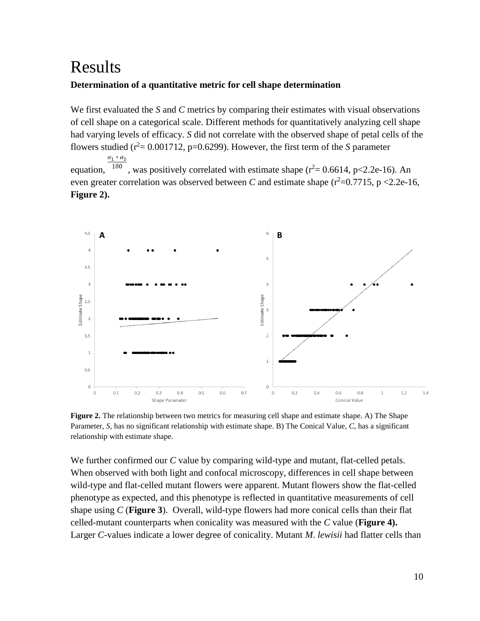# <span id="page-10-0"></span>Results

### **Determination of a quantitative metric for cell shape determination**

We first evaluated the *S* and *C* metrics by comparing their estimates with visual observations of cell shape on a categorical scale. Different methods for quantitatively analyzing cell shape had varying levels of efficacy. *S* did not correlate with the observed shape of petal cells of the flowers studied ( $r^2$  = 0.001712, p=0.6299). However, the first term of the *S* parameter  $\alpha_1 * \alpha_2$ 

equation,  $\frac{180}{180}$ , was positively correlated with estimate shape ( $r^2$  = 0.6614, p<2.2e-16). An even greater correlation was observed between *C* and estimate shape  $(r^2=0.7715, p < 2.2e-16,$ **Figure 2).**



**Figure 2.** The relationship between two metrics for measuring cell shape and estimate shape. A) The Shape Parameter, *S,* has no significant relationship with estimate shape. B) The Conical Value, *C,* has a significant relationship with estimate shape.

We further confirmed our *C* value by comparing wild-type and mutant, flat-celled petals. When observed with both light and confocal microscopy, differences in cell shape between wild-type and flat-celled mutant flowers were apparent. Mutant flowers show the flat-celled phenotype as expected, and this phenotype is reflected in quantitative measurements of cell shape using *C* (**Figure 3**). Overall, wild-type flowers had more conical cells than their flat celled-mutant counterparts when conicality was measured with the *C* value (**Figure 4).**  Larger *C*-values indicate a lower degree of conicality. Mutant *M. lewisii* had flatter cells than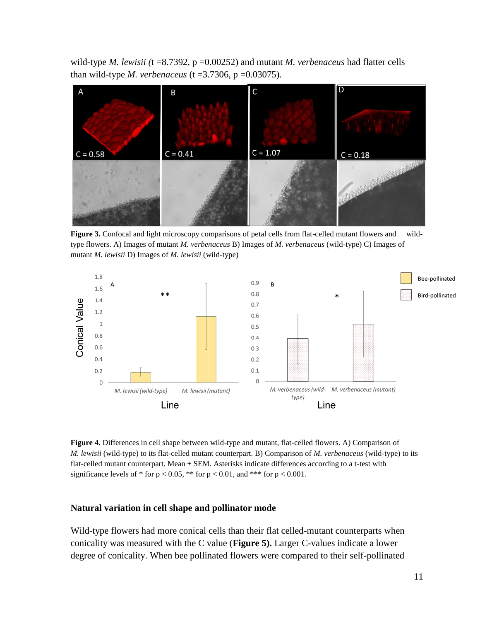wild-type *M. lewisii (*t =8.7392, p =0.00252) and mutant *M. verbenaceus* had flatter cells than wild-type *M. verbenaceus* (t = 3.7306, p = 0.03075).



**Figure 3.** Confocal and light microscopy comparisons of petal cells from flat-celled mutant flowers and wildtype flowers. A) Images of mutant *M. verbenaceus* B) Images of *M. verbenaceus* (wild-type) C) Images of mutant *M. lewisii* D) Images of *M. lewisii* (wild-type)



**Figure 4.** Differences in cell shape between wild-type and mutant, flat-celled flowers. A) Comparison of *M. lewisii* (wild-type) to its flat-celled mutant counterpart. B) Comparison of *M. verbenaceus* (wild-type) to its flat-celled mutant counterpart. Mean  $\pm$  SEM. Asterisks indicate differences according to a t-test with significance levels of  $*$  for  $p < 0.05$ ,  $**$  for  $p < 0.01$ , and  $***$  for  $p < 0.001$ .

#### **Natural variation in cell shape and pollinator mode**

Wild-type flowers had more conical cells than their flat celled-mutant counterparts when conicality was measured with the C value (**Figure 5).** Larger C-values indicate a lower degree of conicality. When bee pollinated flowers were compared to their self-pollinated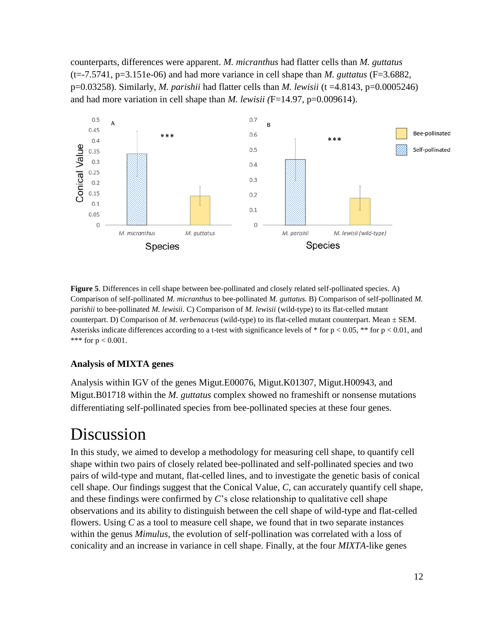counterparts, differences were apparent. *M. micranthus* had flatter cells than *M. guttatus*   $(t=-7.5741, p=3.151e-06)$  and had more variance in cell shape than *M. guttatus* (F=3.6882, p=0.03258). Similarly, *M. parishii* had flatter cells than *M. lewisii* (t =4.8143, p=0.0005246) and had more variation in cell shape than *M. lewisii (*F=14.97, p=0.009614).



**Figure 5**. Differences in cell shape between bee-pollinated and closely related self-pollinated species. A) Comparison of self-pollinated *M. micranthus* to bee-pollinated *M. guttatus.* B) Comparison of self-pollinated *M. parishii* to bee-pollinated *M. lewisii*. C) Comparison of *M. lewisii* (wild-type) to its flat-celled mutant counterpart. D) Comparison of *M. verbenaceus* (wild-type) to its flat-celled mutant counterpart. Mean ± SEM. Asterisks indicate differences according to a t-test with significance levels of  $*$  for  $p < 0.05$ ,  $**$  for  $p < 0.01$ , and \*\*\* for  $p < 0.001$ .

### **Analysis of MIXTA genes**

Analysis within IGV of the genes Migut.E00076, Migut.K01307, Migut.H00943, and Migut.B01718 within the *M. guttatus* complex showed no frameshift or nonsense mutations differentiating self-pollinated species from bee-pollinated species at these four genes.

# <span id="page-12-0"></span>Discussion

In this study, we aimed to develop a methodology for measuring cell shape, to quantify cell shape within two pairs of closely related bee-pollinated and self-pollinated species and two pairs of wild-type and mutant, flat-celled lines, and to investigate the genetic basis of conical cell shape. Our findings suggest that the Conical Value, *C,* can accurately quantify cell shape, and these findings were confirmed by *C*'s close relationship to qualitative cell shape observations and its ability to distinguish between the cell shape of wild-type and flat-celled flowers. Using *C* as a tool to measure cell shape, we found that in two separate instances within the genus *Mimulus*, the evolution of self-pollination was correlated with a loss of conicality and an increase in variance in cell shape. Finally, at the four *MIXTA-*like genes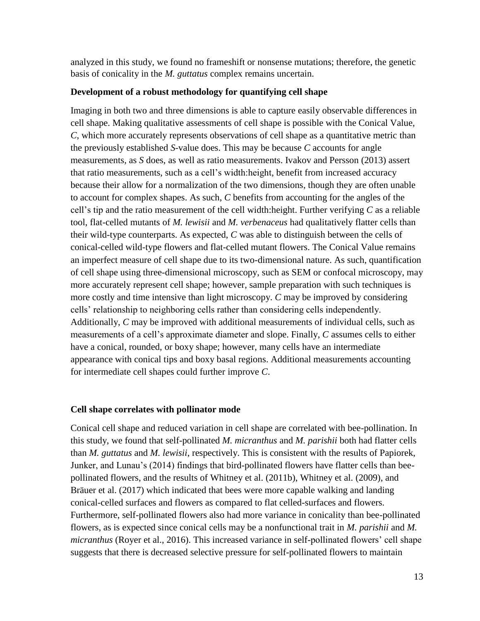analyzed in this study, we found no frameshift or nonsense mutations; therefore, the genetic basis of conicality in the *M. guttatus* complex remains uncertain.

### **Development of a robust methodology for quantifying cell shape**

Imaging in both two and three dimensions is able to capture easily observable differences in cell shape. Making qualitative assessments of cell shape is possible with the Conical Value, *C*, which more accurately represents observations of cell shape as a quantitative metric than the previously established *S-*value does. This may be because *C* accounts for angle measurements, as *S* does, as well as ratio measurements. Ivakov and Persson (2013) assert that ratio measurements, such as a cell's width:height, benefit from increased accuracy because their allow for a normalization of the two dimensions, though they are often unable to account for complex shapes. As such, *C* benefits from accounting for the angles of the cell's tip and the ratio measurement of the cell width:height. Further verifying *C* as a reliable tool, flat-celled mutants of *M. lewisii* and *M. verbenaceus* had qualitatively flatter cells than their wild-type counterparts. As expected, *C* was able to distinguish between the cells of conical-celled wild-type flowers and flat-celled mutant flowers. The Conical Value remains an imperfect measure of cell shape due to its two-dimensional nature. As such, quantification of cell shape using three-dimensional microscopy, such as SEM or confocal microscopy, may more accurately represent cell shape; however, sample preparation with such techniques is more costly and time intensive than light microscopy. *C* may be improved by considering cells' relationship to neighboring cells rather than considering cells independently. Additionally, *C* may be improved with additional measurements of individual cells, such as measurements of a cell's approximate diameter and slope. Finally, *C* assumes cells to either have a conical, rounded, or boxy shape; however, many cells have an intermediate appearance with conical tips and boxy basal regions. Additional measurements accounting for intermediate cell shapes could further improve *C*.

### **Cell shape correlates with pollinator mode**

Conical cell shape and reduced variation in cell shape are correlated with bee-pollination. In this study, we found that self-pollinated *M. micranthus* and *M. parishii* both had flatter cells than *M. guttatus* and *M. lewisii*, respectively. This is consistent with the results of Papiorek, Junker, and Lunau's (2014) findings that bird-pollinated flowers have flatter cells than beepollinated flowers, and the results of Whitney et al. (2011b), Whitney et al. (2009), and Bräuer et al. (2017) which indicated that bees were more capable walking and landing conical-celled surfaces and flowers as compared to flat celled-surfaces and flowers. Furthermore, self-pollinated flowers also had more variance in conicality than bee-pollinated flowers, as is expected since conical cells may be a nonfunctional trait in *M. parishii* and *M. micranthus* (Royer et al., 2016). This increased variance in self-pollinated flowers' cell shape suggests that there is decreased selective pressure for self-pollinated flowers to maintain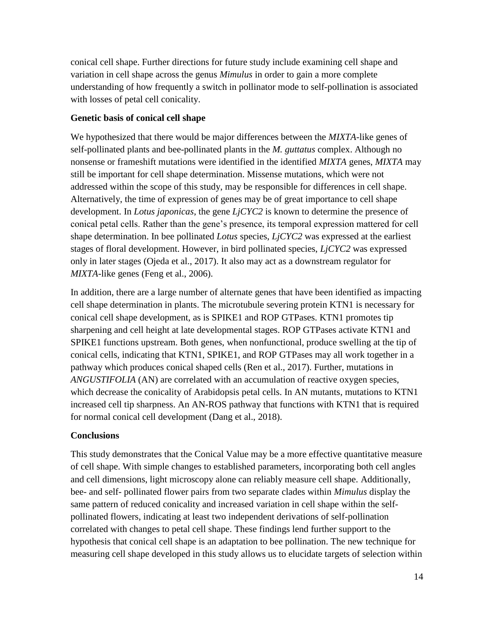conical cell shape. Further directions for future study include examining cell shape and variation in cell shape across the genus *Mimulus* in order to gain a more complete understanding of how frequently a switch in pollinator mode to self-pollination is associated with losses of petal cell conicality.

### **Genetic basis of conical cell shape**

We hypothesized that there would be major differences between the *MIXTA*-like genes of self-pollinated plants and bee-pollinated plants in the *M. guttatus* complex. Although no nonsense or frameshift mutations were identified in the identified *MIXTA* genes, *MIXTA* may still be important for cell shape determination. Missense mutations, which were not addressed within the scope of this study, may be responsible for differences in cell shape. Alternatively, the time of expression of genes may be of great importance to cell shape development. In *Lotus japonicas*, the gene *LjCYC2* is known to determine the presence of conical petal cells. Rather than the gene's presence, its temporal expression mattered for cell shape determination. In bee pollinated *Lotus* species, *LjCYC2* was expressed at the earliest stages of floral development. However, in bird pollinated species, *LjCYC2* was expressed only in later stages (Ojeda et al., 2017). It also may act as a downstream regulator for *MIXTA-*like genes (Feng et al., 2006).

In addition, there are a large number of alternate genes that have been identified as impacting cell shape determination in plants. The microtubule severing protein KTN1 is necessary for conical cell shape development, as is SPIKE1 and ROP GTPases. KTN1 promotes tip sharpening and cell height at late developmental stages. ROP GTPases activate KTN1 and SPIKE1 functions upstream. Both genes, when nonfunctional, produce swelling at the tip of conical cells, indicating that KTN1, SPIKE1, and ROP GTPases may all work together in a pathway which produces conical shaped cells (Ren et al., 2017). Further, mutations in *ANGUSTIFOLIA* (AN) are correlated with an accumulation of reactive oxygen species, which decrease the conicality of Arabidopsis petal cells. In AN mutants, mutations to KTN1 increased cell tip sharpness. An AN-ROS pathway that functions with KTN1 that is required for normal conical cell development (Dang et al., 2018).

### **Conclusions**

This study demonstrates that the Conical Value may be a more effective quantitative measure of cell shape. With simple changes to established parameters, incorporating both cell angles and cell dimensions, light microscopy alone can reliably measure cell shape. Additionally, bee- and self- pollinated flower pairs from two separate clades within *Mimulus* display the same pattern of reduced conicality and increased variation in cell shape within the selfpollinated flowers, indicating at least two independent derivations of self-pollination correlated with changes to petal cell shape. These findings lend further support to the hypothesis that conical cell shape is an adaptation to bee pollination. The new technique for measuring cell shape developed in this study allows us to elucidate targets of selection within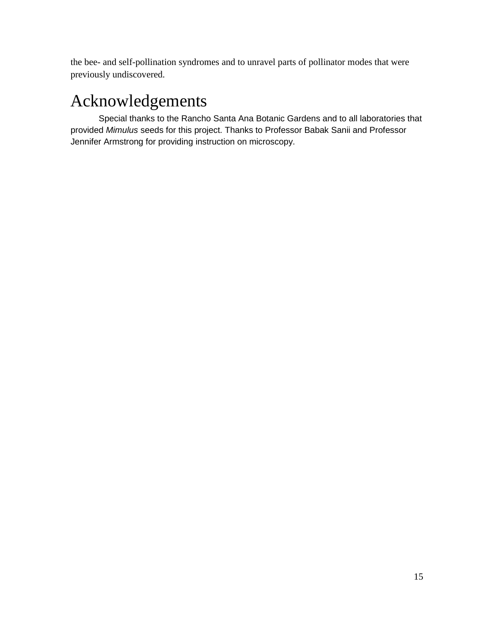the bee- and self-pollination syndromes and to unravel parts of pollinator modes that were previously undiscovered.

# <span id="page-15-0"></span>Acknowledgements

Special thanks to the Rancho Santa Ana Botanic Gardens and to all laboratories that provided *Mimulus* seeds for this project. Thanks to Professor Babak Sanii and Professor Jennifer Armstrong for providing instruction on microscopy.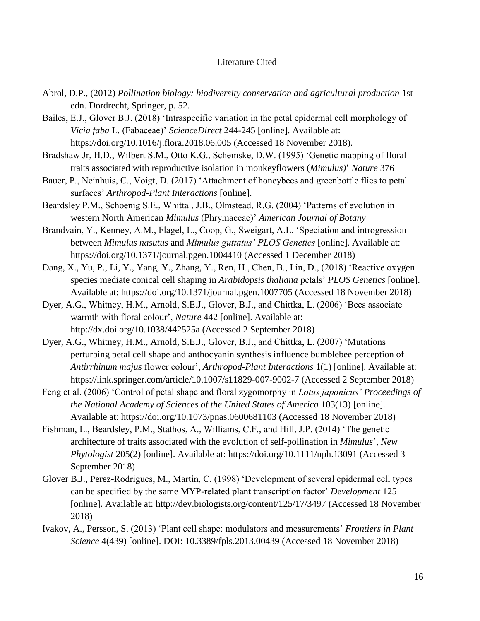### Literature Cited

- <span id="page-16-0"></span>Abrol, D.P., (2012) *Pollination biology: biodiversity conservation and agricultural production* 1st edn. Dordrecht, Springer, p. 52.
- Bailes, E.J., Glover B.J. (2018) 'Intraspecific variation in the petal epidermal cell morphology of *Vicia faba* L. (Fabaceae)' *ScienceDirect* 244-245 [online]. Available at: <https://doi.org/10.1016/j.flora.2018.06.005> (Accessed 18 November 2018).
- Bradshaw Jr, H.D., Wilbert S.M., Otto K.G., Schemske, D.W. (1995) 'Genetic mapping of floral traits associated with reproductive isolation in monkeyflowers (*Mimulus)*' *Nature* 376
- Bauer, P., Neinhuis, C., Voigt, D. (2017) 'Attachment of honeybees and greenbottle flies to petal surfaces' *Arthropod-Plant Interactions* [online].
- Beardsley P.M., Schoenig S.E., Whittal, J.B., Olmstead, R.G. (2004) 'Patterns of evolution in western North American *Mimulus* (Phrymaceae)' *American Journal of Botany*
- Brandvain, Y., Kenney, A.M., Flagel, L., Coop, G., Sweigart, A.L. 'Speciation and introgression between *Mimulus nasutus* and *Mimulus guttatus' PLOS Genetics* [online]. Available at: https://doi.org/10.1371/journal.pgen.1004410 (Accessed 1 December 2018)
- Dang, X., Yu, P., Li, Y., Yang, Y., Zhang, Y., Ren, H., Chen, B., Lin, D., (2018) 'Reactive oxygen species mediate conical cell shaping in *Arabidopsis thaliana* petals' *PLOS Genetics* [online]. Available at:<https://doi.org/10.1371/journal.pgen.1007705> (Accessed 18 November 2018)
- Dyer, A.G., Whitney, H.M., Arnold, S.E.J., Glover, B.J., and Chittka, L. (2006) 'Bees associate warmth with floral colour', *Nature* 442 [online]. Available at: http://dx.doi.org/10.1038/442525a (Accessed 2 September 2018)
- Dyer, A.G., Whitney, H.M., Arnold, S.E.J., Glover, B.J., and Chittka, L. (2007) 'Mutations perturbing petal cell shape and anthocyanin synthesis influence bumblebee perception of *Antirrhinum majus* flower colour', *Arthropod-Plant Interactions* 1(1) [online]. Available at: <https://link.springer.com/article/10.1007/s11829-007-9002-7> (Accessed 2 September 2018)
- Feng et al. (2006) 'Control of petal shape and floral zygomorphy in *Lotus japonicus' Proceedings of the National Academy of Sciences of the United States of America* 103(13) [online]. Available at:<https://doi.org/10.1073/pnas.0600681103> (Accessed 18 November 2018)
- Fishman, L., Beardsley, P.M., Stathos, A., Williams, C.F., and Hill, J.P. (2014) 'The genetic architecture of traits associated with the evolution of self-pollination in *Mimulus*', *New Phytologist* 205(2) [online]. Available at:<https://doi.org/10.1111/nph.13091> (Accessed 3 September 2018)
- Glover B.J., Perez-Rodrigues, M., Martin, C. (1998) 'Development of several epidermal cell types can be specified by the same MYP-related plant transcription factor' *Development* 125 [online]. Available at:<http://dev.biologists.org/content/125/17/3497> (Accessed 18 November 2018)
- Ivakov, A., Persson, S. (2013) 'Plant cell shape: modulators and measurements' *Frontiers in Plant Science* 4(439) [online]. DOI: [10.3389/fpls.2013.00439](https://dx.doi.org/10.3389%2Ffpls.2013.00439) (Accessed 18 November 2018)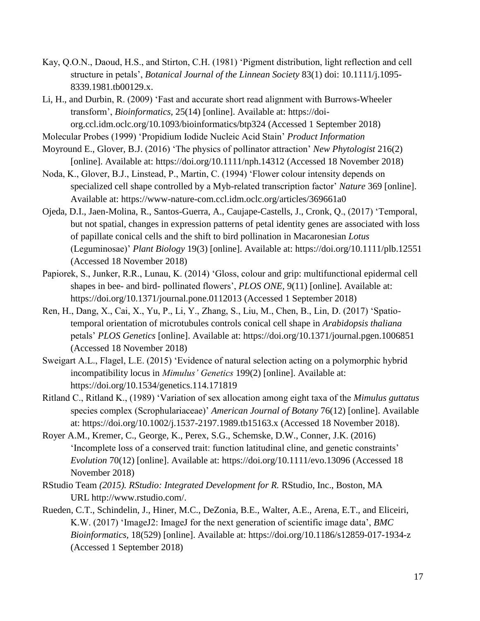- Kay, Q.O.N., Daoud, H.S., and Stirton, C.H. (1981) 'Pigment distribution, light reflection and cell structure in petals', *Botanical Journal of the Linnean Society* 83(1) doi: 10.1111/j.1095- 8339.1981.tb00129.x.
- Li, H., and Durbin, R. (2009) 'Fast and accurate short read alignment with Burrows-Wheeler transform', *Bioinformatics,* 25(14) [online]. Available at: [https://doi](https://doi-org.ccl.idm.oclc.org/10.1093/bioinformatics/btp324)[org.ccl.idm.oclc.org/10.1093/bioinformatics/btp324](https://doi-org.ccl.idm.oclc.org/10.1093/bioinformatics/btp324) (Accessed 1 September 2018)
- Molecular Probes (1999) 'Propidium Iodide Nucleic Acid Stain' *Product Information*
- Moyround E., Glover, B.J. (2016) 'The physics of pollinator attraction' *New Phytologist* 216(2) [online]. Available at:<https://doi.org/10.1111/nph.14312> (Accessed 18 November 2018)
- Noda, K., Glover, B.J., Linstead, P., Martin, C. (1994) 'Flower colour intensity depends on specialized cell shape controlled by a Myb-related transcription factor' *Nature* 369 [online]. Available at: https://www-nature-com.ccl.idm.oclc.org/articles/369661a0
- Ojeda, D.I., Jaen-Molina, R., Santos-Guerra, A., Caujape-Castells, J., Cronk, Q., (2017) 'Temporal, but not spatial, changes in expression patterns of petal identity genes are associated with loss of papillate conical cells and the shift to bird pollination in Macaronesian *Lotus*  (Leguminosae)' *Plant Biology* 19(3) [online]. Available at:<https://doi.org/10.1111/plb.12551> (Accessed 18 November 2018)
- Papiorek, S., Junker, R.R., Lunau, K. (2014) 'Gloss, colour and grip: multifunctional epidermal cell shapes in bee- and bird- pollinated flowers', *PLOS ONE,* 9(11) [online]. Available at: <https://doi.org/10.1371/journal.pone.0112013> (Accessed 1 September 2018)
- Ren, H., Dang, X., Cai, X., Yu, P., Li, Y., Zhang, S., Liu, M., Chen, B., Lin, D. (2017) 'Spatiotemporal orientation of microtubules controls conical cell shape in *Arabidopsis thaliana*  petals' *PLOS Genetics* [online]. Available at:<https://doi.org/10.1371/journal.pgen.1006851> (Accessed 18 November 2018)
- Sweigart A.L., Flagel, L.E. (2015) 'Evidence of natural selection acting on a polymorphic hybrid incompatibility locus in *Mimulus' Genetics* 199(2) [online]. Available at: https://doi.org/10.1534/genetics.114.171819
- Ritland C., Ritland K., (1989) 'Variation of sex allocation among eight taxa of the *Mimulus guttatus*  species complex (Scrophulariaceae)' *American Journal of Botany* 76(12) [online]. Available at:<https://doi.org/10.1002/j.1537-2197.1989.tb15163.x> (Accessed 18 November 2018).
- Royer A.M., Kremer, C., George, K., Perex, S.G., Schemske, D.W., Conner, J.K. (2016) 'Incomplete loss of a conserved trait: function latitudinal cline, and genetic constraints' *Evolution* 70(12) [online]. Available at:<https://doi.org/10.1111/evo.13096> (Accessed 18 November 2018)
- RStudio Team *(2015). RStudio: Integrated Development for R.* RStudio, Inc., Boston, MA URL [http://www.rstudio.com/.](http://www.rstudio.com/)
- Rueden, C.T., Schindelin, J., Hiner, M.C., DeZonia, B.E., Walter, A.E., Arena, E.T., and Eliceiri, K.W. (2017) 'ImageJ2: ImageJ for the next generation of scientific image data', *BMC Bioinformatics,* 18(529) [online]. Available at:<https://doi.org/10.1186/s12859-017-1934-z> (Accessed 1 September 2018)